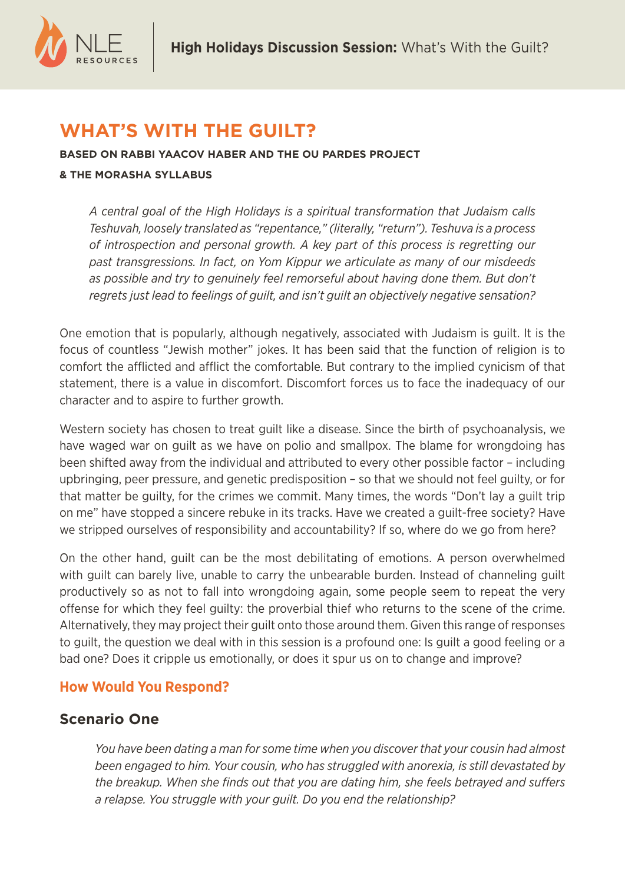

# **WHAT'S WITH THE GUILT?**

**BASED ON RABBI YAACOV HABER AND THE OU PARDES PROJECT & THE MORASHA SYLLABUS**

*A central goal of the High Holidays is a spiritual transformation that Judaism calls Teshuvah, loosely translated as "repentance," (literally, "return"). Teshuva is a process of introspection and personal growth. A key part of this process is regretting our past transgressions. In fact, on Yom Kippur we articulate as many of our misdeeds*  as possible and try to genuinely feel remorseful about having done them. But don't *regrets just lead to feelings of guilt, and isn't guilt an objectively negative sensation?*

One emotion that is popularly, although negatively, associated with Judaism is guilt. It is the focus of countless "Jewish mother" jokes. It has been said that the function of religion is to comfort the afflicted and afflict the comfortable. But contrary to the implied cynicism of that statement, there is a value in discomfort. Discomfort forces us to face the inadequacy of our character and to aspire to further growth.

Western society has chosen to treat guilt like a disease. Since the birth of psychoanalysis, we have waged war on guilt as we have on polio and smallpox. The blame for wrongdoing has been shifted away from the individual and attributed to every other possible factor – including upbringing, peer pressure, and genetic predisposition – so that we should not feel guilty, or for that matter be guilty, for the crimes we commit. Many times, the words "Don't lay a guilt trip on me" have stopped a sincere rebuke in its tracks. Have we created a guilt-free society? Have we stripped ourselves of responsibility and accountability? If so, where do we go from here?

On the other hand, guilt can be the most debilitating of emotions. A person overwhelmed with guilt can barely live, unable to carry the unbearable burden. Instead of channeling guilt productively so as not to fall into wrongdoing again, some people seem to repeat the very offense for which they feel guilty: the proverbial thief who returns to the scene of the crime. Alternatively, they may project their guilt onto those around them. Given this range of responses to guilt, the question we deal with in this session is a profound one: Is guilt a good feeling or a bad one? Does it cripple us emotionally, or does it spur us on to change and improve?

# **How Would You Respond?**

# **Scenario One**

*You have been dating a man for some time when you discover that your cousin had almost been engaged to him. Your cousin, who has struggled with anorexia, is still devastated by the breakup. When she finds out that you are dating him, she feels betrayed and suffers a relapse. You struggle with your guilt. Do you end the relationship?*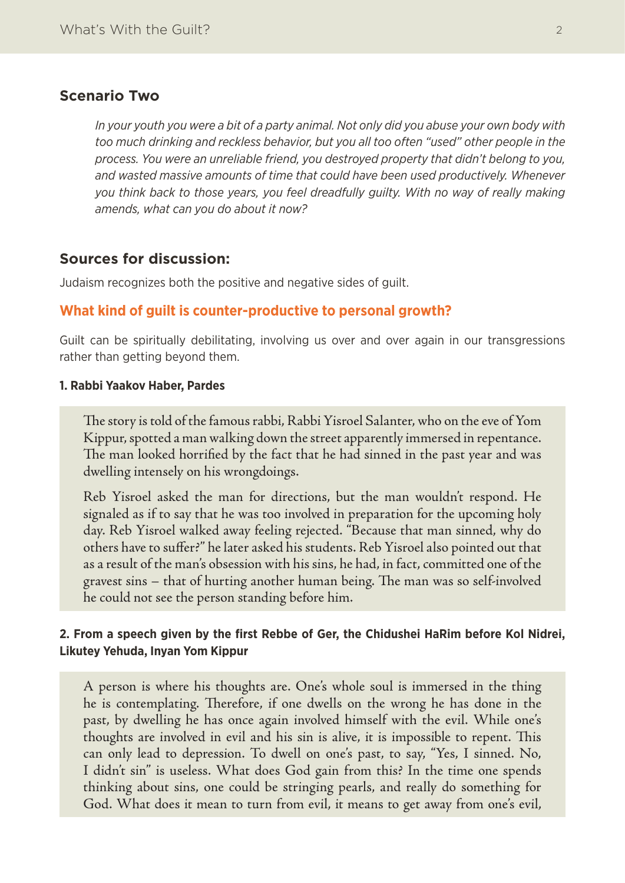## **Scenario Two**

*In your youth you were a bit of a party animal. Not only did you abuse your own body with too much drinking and reckless behavior, but you all too often "used" other people in the process. You were an unreliable friend, you destroyed property that didn't belong to you, and wasted massive amounts of time that could have been used productively. Whenever you think back to those years, you feel dreadfully guilty. With no way of really making amends, what can you do about it now?*

## **Sources for discussion:**

Judaism recognizes both the positive and negative sides of guilt.

## **What kind of guilt is counter-productive to personal growth?**

Guilt can be spiritually debilitating, involving us over and over again in our transgressions rather than getting beyond them.

#### **1. Rabbi Yaakov Haber, Pardes**

The story is told of the famous rabbi, Rabbi Yisroel Salanter, who on the eve of Yom Kippur, spotted a man walking down the street apparently immersed in repentance. The man looked horrified by the fact that he had sinned in the past year and was dwelling intensely on his wrongdoings.

Reb Yisroel asked the man for directions, but the man wouldn't respond. He signaled as if to say that he was too involved in preparation for the upcoming holy day. Reb Yisroel walked away feeling rejected. "Because that man sinned, why do others have to suffer?" he later asked his students. Reb Yisroel also pointed out that as a result of the man's obsession with his sins, he had, in fact, committed one of the gravest sins – that of hurting another human being. The man was so self-involved he could not see the person standing before him.

## **2. From a speech given by the first Rebbe of Ger, the Chidushei HaRim before Kol Nidrei, Likutey Yehuda, Inyan Yom Kippur**

A person is where his thoughts are. One's whole soul is immersed in the thing he is contemplating. Therefore, if one dwells on the wrong he has done in the past, by dwelling he has once again involved himself with the evil. While one's thoughts are involved in evil and his sin is alive, it is impossible to repent. This can only lead to depression. To dwell on one's past, to say, "Yes, I sinned. No, I didn't sin" is useless. What does God gain from this? In the time one spends thinking about sins, one could be stringing pearls, and really do something for God. What does it mean to turn from evil, it means to get away from one's evil,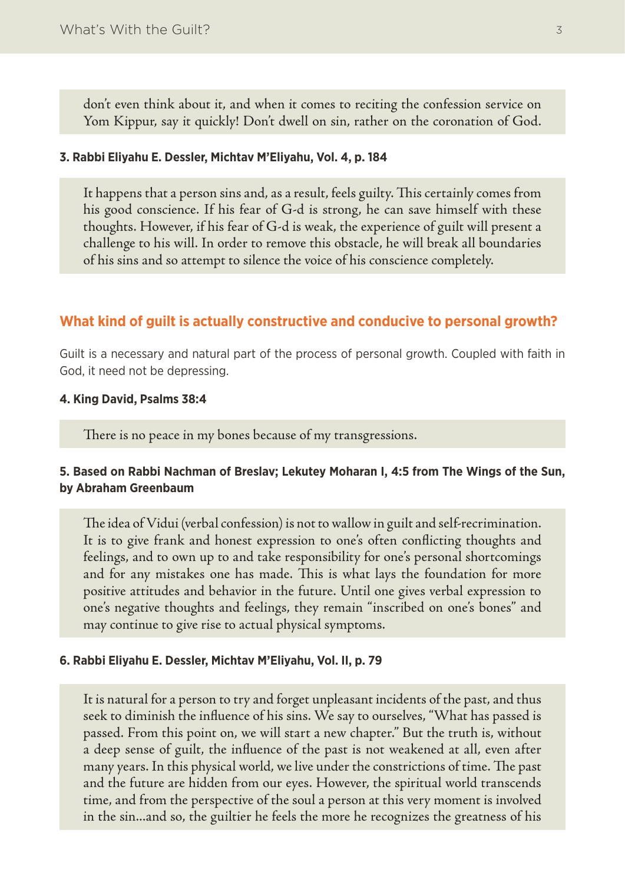don't even think about it, and when it comes to reciting the confession service on Yom Kippur, say it quickly! Don't dwell on sin, rather on the coronation of God.

#### **3. Rabbi Eliyahu E. Dessler, Michtav M'Eliyahu, Vol. 4, p. 184**

It happens that a person sins and, as a result, feels guilty. This certainly comes from his good conscience. If his fear of G-d is strong, he can save himself with these thoughts. However, if his fear of G-d is weak, the experience of guilt will present a challenge to his will. In order to remove this obstacle, he will break all boundaries of his sins and so attempt to silence the voice of his conscience completely.

## **What kind of guilt is actually constructive and conducive to personal growth?**

Guilt is a necessary and natural part of the process of personal growth. Coupled with faith in God, it need not be depressing.

#### **4. King David, Psalms 38:4**

There is no peace in my bones because of my transgressions.

## **5. Based on Rabbi Nachman of Breslav; Lekutey Moharan I, 4:5 from The Wings of the Sun, by Abraham Greenbaum**

The idea of Vidui (verbal confession) is not to wallow in guilt and self-recrimination. It is to give frank and honest expression to one's often conflicting thoughts and feelings, and to own up to and take responsibility for one's personal shortcomings and for any mistakes one has made. This is what lays the foundation for more positive attitudes and behavior in the future. Until one gives verbal expression to one's negative thoughts and feelings, they remain "inscribed on one's bones" and may continue to give rise to actual physical symptoms.

#### **6. Rabbi Eliyahu E. Dessler, Michtav M'Eliyahu, Vol. II, p. 79**

It is natural for a person to try and forget unpleasant incidents of the past, and thus seek to diminish the influence of his sins. We say to ourselves, "What has passed is passed. From this point on, we will start a new chapter." But the truth is, without a deep sense of guilt, the influence of the past is not weakened at all, even after many years. In this physical world, we live under the constrictions of time. The past and the future are hidden from our eyes. However, the spiritual world transcends time, and from the perspective of the soul a person at this very moment is involved in the sin...and so, the guiltier he feels the more he recognizes the greatness of his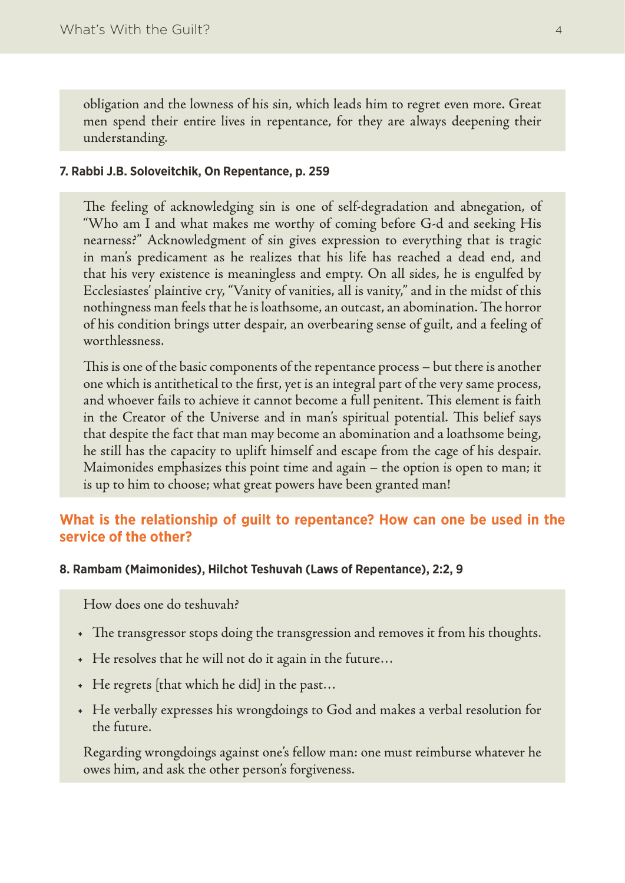obligation and the lowness of his sin, which leads him to regret even more. Great men spend their entire lives in repentance, for they are always deepening their understanding.

## **7. Rabbi J.B. Soloveitchik, On Repentance, p. 259**

The feeling of acknowledging sin is one of self-degradation and abnegation, of "Who am I and what makes me worthy of coming before G-d and seeking His nearness?" Acknowledgment of sin gives expression to everything that is tragic in man's predicament as he realizes that his life has reached a dead end, and that his very existence is meaningless and empty. On all sides, he is engulfed by Ecclesiastes' plaintive cry, "Vanity of vanities, all is vanity," and in the midst of this nothingness man feels that he is loathsome, an outcast, an abomination. The horror of his condition brings utter despair, an overbearing sense of guilt, and a feeling of worthlessness.

This is one of the basic components of the repentance process – but there is another one which is antithetical to the first, yet is an integral part of the very same process, and whoever fails to achieve it cannot become a full penitent. This element is faith in the Creator of the Universe and in man's spiritual potential. This belief says that despite the fact that man may become an abomination and a loathsome being, he still has the capacity to uplift himself and escape from the cage of his despair. Maimonides emphasizes this point time and again – the option is open to man; it is up to him to choose; what great powers have been granted man!

# **What is the relationship of guilt to repentance? How can one be used in the service of the other?**

### **8. Rambam (Maimonides), Hilchot Teshuvah (Laws of Repentance), 2:2, 9**

How does one do teshuvah?

- • The transgressor stops doing the transgression and removes it from his thoughts.
- He resolves that he will not do it again in the future...
- • He regrets [that which he did] in the past…
- • He verbally expresses his wrongdoings to God and makes a verbal resolution for the future.

Regarding wrongdoings against one's fellow man: one must reimburse whatever he owes him, and ask the other person's forgiveness.